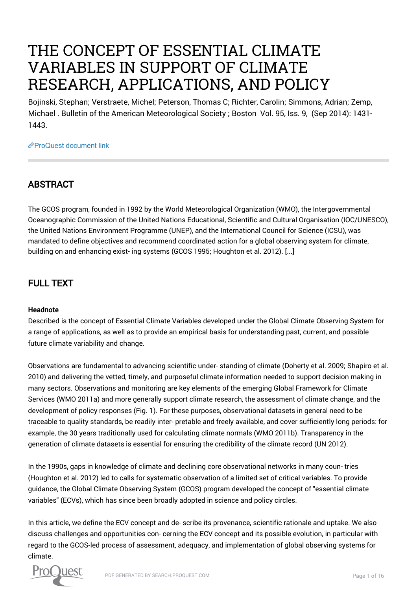# THE CONCEPT OF ESSENTIAL CLIMATE VARIABLES IN SUPPORT OF CLIMATE RESEARCH, APPLICATIONS, AND POLICY

Bojinski, Stephan; Verstraete, Michel; Peterson, Thomas C; Richter, Carolin; Simmons, Adrian; Zemp, Michael . Bulletin of the American Meteorological Society ; Boston Vol. 95, Iss. 9, (Sep 2014): 1431- 1443.

#### [ProQuest document link](http://proxy.lib.odu.edu/login?url=https://search.proquest.com/docview/1623476010?accountid=12967)

## ABSTRACT

The GCOS program, founded in 1992 by the World Meteorological Organization (WMO), the Intergovernmental Oceanographic Commission of the United Nations Educational, Scientific and Cultural Organisation (IOC/UNESCO), the United Nations Environment Programme (UNEP), and the International Council for Science (ICSU), was mandated to define objectives and recommend coordinated action for a global observing system for climate, building on and enhancing exist- ing systems (GCOS 1995; Houghton et al. 2012). [...]

## FULL TEXT

#### **Headnote**

Described is the concept of Essential Climate Variables developed under the Global Climate Observing System for a range of applications, as well as to provide an empirical basis for understanding past, current, and possible future climate variability and change.

Observations are fundamental to advancing scientific under- standing of climate (Doherty et al. 2009; Shapiro et al. 2010) and delivering the vetted, timely, and purposeful climate information needed to support decision making in many sectors. Observations and monitoring are key elements of the emerging Global Framework for Climate Services (WMO 2011a) and more generally support climate research, the assessment of climate change, and the development of policy responses (Fig. 1). For these purposes, observational datasets in general need to be traceable to quality standards, be readily inter- pretable and freely available, and cover sufficiently long periods: for example, the 30 years traditionally used for calculating climate normals (WMO 2011b). Transparency in the generation of climate datasets is essential for ensuring the credibility of the climate record (UN 2012).

In the 1990s, gaps in knowledge of climate and declining core observational networks in many coun- tries (Houghton et al. 2012) led to calls for systematic observation of a limited set of critical variables. To provide guidance, the Global Climate Observing System (GCOS) program developed the concept of "essential climate variables" (ECVs), which has since been broadly adopted in science and policy circles.

In this article, we define the ECV concept and de- scribe its provenance, scientific rationale and uptake. We also discuss challenges and opportunities con- cerning the ECV concept and its possible evolution, in particular with regard to the GCOS-led process of assessment, adequacy, and implementation of global observing systems for climate.

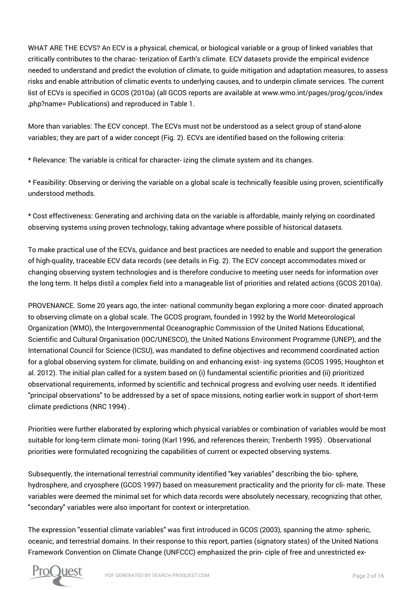WHAT ARE THE ECVS? An ECV is a physical, chemical, or biological variable or a group of linked variables that critically contributes to the charac- terization of Earth's climate. ECV datasets provide the empirical evidence needed to understand and predict the evolution of climate, to guide mitigation and adaptation measures, to assess risks and enable attribution of climatic events to underlying causes, and to underpin climate services. The current list of ECVs is specified in GCOS (2010a) (all GCOS reports are available at www.wmo.int/pages/prog/gcos/index ,php?name= Publications) and reproduced in Table 1.

More than variables: The ECV concept. The ECVs must not be understood as a select group of stand-alone variables; they are part of a wider concept (Fig. 2). ECVs are identified based on the following criteria:

\* Relevance: The variable is critical for character- izing the climate system and its changes.

\* Feasibility: Observing or deriving the variable on a global scale is technically feasible using proven, scientifically understood methods.

\* Cost effectiveness: Generating and archiving data on the variable is affordable, mainly relying on coordinated observing systems using proven technology, taking advantage where possible of historical datasets.

To make practical use of the ECVs, guidance and best practices are needed to enable and support the generation of high-quality, traceable ECV data records (see details in Fig. 2). The ECV concept accommodates mixed or changing observing system technologies and is therefore conducive to meeting user needs for information over the long term. It helps distil a complex field into a manageable list of priorities and related actions (GCOS 2010a).

PROVENANCE. Some 20 years ago, the inter- national community began exploring a more coor- dinated approach to observing climate on a global scale. The GCOS program, founded in 1992 by the World Meteorological Organization (WMO), the Intergovernmental Oceanographic Commission of the United Nations Educational, Scientific and Cultural Organisation (IOC/UNESCO), the United Nations Environment Programme (UNEP), and the International Council for Science (ICSU), was mandated to define objectives and recommend coordinated action for a global observing system for climate, building on and enhancing exist- ing systems (GCOS 1995; Houghton et al. 2012). The initial plan called for a system based on (i) fundamental scientific priorities and (ii) prioritized observational requirements, informed by scientific and technical progress and evolving user needs. It identified "principal observations" to be addressed by a set of space missions, noting earlier work in support of short-term climate predictions (NRC 1994) .

Priorities were further elaborated by exploring which physical variables or combination of variables would be most suitable for long-term climate moni- toring (Karl 1996, and references therein; Trenberth 1995) . Observational priorities were formulated recognizing the capabilities of current or expected observing systems.

Subsequently, the international terrestrial community identified "key variables" describing the bio- sphere, hydrosphere, and cryosphere (GCOS 1997) based on measurement practicality and the priority for cli- mate. These variables were deemed the minimal set for which data records were absolutely necessary, recognizing that other, "secondary" variables were also important for context or interpretation.

The expression "essential climate variables" was first introduced in GCOS (2003), spanning the atmo- spheric, oceanic, and terrestrial domains. In their response to this report, parties (signatory states) of the United Nations Framework Convention on Climate Change (UNFCCC) emphasized the prin- ciple of free and unrestricted ex-

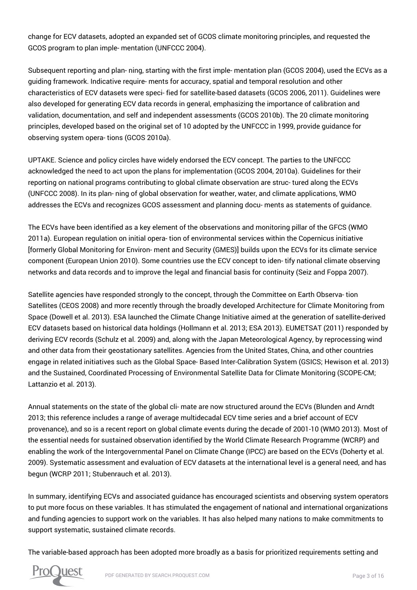change for ECV datasets, adopted an expanded set of GCOS climate monitoring principles, and requested the GCOS program to plan imple- mentation (UNFCCC 2004).

Subsequent reporting and plan- ning, starting with the first imple- mentation plan (GCOS 2004), used the ECVs as a guiding framework. Indicative require- ments for accuracy, spatial and temporal resolution and other characteristics of ECV datasets were speci- fied for satellite-based datasets (GCOS 2006, 2011). Guidelines were also developed for generating ECV data records in general, emphasizing the importance of calibration and validation, documentation, and self and independent assessments (GCOS 2010b). The 20 climate monitoring principles, developed based on the original set of 10 adopted by the UNFCCC in 1999, provide guidance for observing system opera- tions (GCOS 2010a).

UPTAKE. Science and policy circles have widely endorsed the ECV concept. The parties to the UNFCCC acknowledged the need to act upon the plans for implementation (GCOS 2004, 2010a). Guidelines for their reporting on national programs contributing to global climate observation are struc- tured along the ECVs (UNFCCC 2008). In its plan- ning of global observation for weather, water, and climate applications, WMO addresses the ECVs and recognizes GCOS assessment and planning docu- ments as statements of guidance.

The ECVs have been identified as a key element of the observations and monitoring pillar of the GFCS (WMO 2011a). European regulation on initial opera- tion of environmental services within the Copernicus initiative [formerly Global Monitoring for Environ- ment and Security (GMES)] builds upon the ECVs for its climate service component (European Union 2010). Some countries use the ECV concept to iden- tify national climate observing networks and data records and to improve the legal and financial basis for continuity (Seiz and Foppa 2007).

Satellite agencies have responded strongly to the concept, through the Committee on Earth Observa- tion Satellites (CEOS 2008) and more recently through the broadly developed Architecture for Climate Monitoring from Space (Dowell et al. 2013). ESA launched the Climate Change Initiative aimed at the generation of satellite-derived ECV datasets based on historical data holdings (Hollmann et al. 2013; ESA 2013). EUMETSAT (2011) responded by deriving ECV records (Schulz et al. 2009) and, along with the Japan Meteorological Agency, by reprocessing wind and other data from their geostationary satellites. Agencies from the United States, China, and other countries engage in related initiatives such as the Global Space- Based Inter-Calibration System (GSICS; Hewison et al. 2013) and the Sustained, Coordinated Processing of Environmental Satellite Data for Climate Monitoring (SCOPE-CM; Lattanzio et al. 2013).

Annual statements on the state of the global cli- mate are now structured around the ECVs (Blunden and Arndt 2013; this reference includes a range of average multidecadal ECV time series and a brief account of ECV provenance), and so is a recent report on global climate events during the decade of 2001-10 (WMO 2013). Most of the essential needs for sustained observation identified by the World Climate Research Programme (WCRP) and enabling the work of the Intergovernmental Panel on Climate Change (IPCC) are based on the ECVs (Doherty et al. 2009). Systematic assessment and evaluation of ECV datasets at the international level is a general need, and has begun (WCRP 2011; Stubenrauch et al. 2013).

In summary, identifying ECVs and associated guidance has encouraged scientists and observing system operators to put more focus on these variables. It has stimulated the engagement of national and international organizations and funding agencies to support work on the variables. It has also helped many nations to make commitments to support systematic, sustained climate records.

The variable-based approach has been adopted more broadly as a basis for prioritized requirements setting and

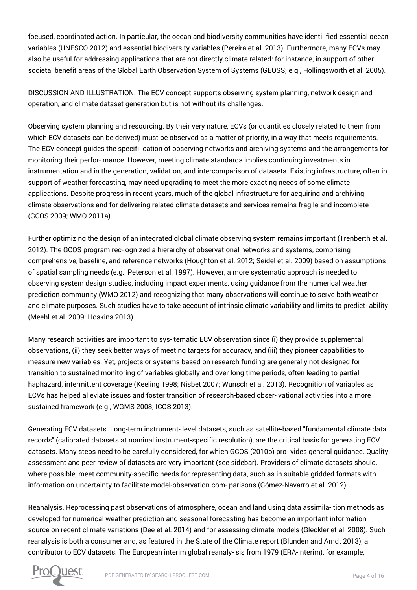focused, coordinated action. In particular, the ocean and biodiversity communities have identi- fied essential ocean variables (UNESCO 2012) and essential biodiversity variables (Pereira et al. 2013). Furthermore, many ECVs may also be useful for addressing applications that are not directly climate related: for instance, in support of other societal benefit areas of the Global Earth Observation System of Systems (GEOSS; e.g., Hollingsworth et al. 2005).

DISCUSSION AND ILLUSTRATION. The ECV concept supports observing system planning, network design and operation, and climate dataset generation but is not without its challenges.

Observing system planning and resourcing. By their very nature, ECVs (or quantities closely related to them from which ECV datasets can be derived) must be observed as a matter of priority, in a way that meets requirements. The ECV concept guides the specifi- cation of observing networks and archiving systems and the arrangements for monitoring their perfor- mance. However, meeting climate standards implies continuing investments in instrumentation and in the generation, validation, and intercomparison of datasets. Existing infrastructure, often in support of weather forecasting, may need upgrading to meet the more exacting needs of some climate applications. Despite progress in recent years, much of the global infrastructure for acquiring and archiving climate observations and for delivering related climate datasets and services remains fragile and incomplete (GCOS 2009; WMO 2011a).

Further optimizing the design of an integrated global climate observing system remains important (Trenberth et al. 2012). The GCOS program rec- ognized a hierarchy of observational networks and systems, comprising comprehensive, baseline, and reference networks (Houghton et al. 2012; Seidel et al. 2009) based on assumptions of spatial sampling needs (e.g., Peterson et al. 1997). However, a more systematic approach is needed to observing system design studies, including impact experiments, using guidance from the numerical weather prediction community (WMO 2012) and recognizing that many observations will continue to serve both weather and climate purposes. Such studies have to take account of intrinsic climate variability and limits to predict- ability (Meehl et al. 2009; Hoskins 2013).

Many research activities are important to sys- tematic ECV observation since (i) they provide supplemental observations, (ii) they seek better ways of meeting targets for accuracy, and (iii) they pioneer capabilities to measure new variables. Yet, projects or systems based on research funding are generally not designed for transition to sustained monitoring of variables globally and over long time periods, often leading to partial, haphazard, intermittent coverage (Keeling 1998; Nisbet 2007; Wunsch et al. 2013). Recognition of variables as ECVs has helped alleviate issues and foster transition of research-based obser- vational activities into a more sustained framework (e.g., WGMS 2008; ICOS 2013).

Generating ECV datasets. Long-term instrument- level datasets, such as satellite-based "fundamental climate data records" (calibrated datasets at nominal instrument-specific resolution), are the critical basis for generating ECV datasets. Many steps need to be carefully considered, for which GCOS (2010b) pro- vides general guidance. Quality assessment and peer review of datasets are very important (see sidebar). Providers of climate datasets should, where possible, meet community-specific needs for representing data, such as in suitable gridded formats with information on uncertainty to facilitate model-observation com- parisons (Gómez-Navarro et al. 2012).

Reanalysis. Reprocessing past observations of atmosphere, ocean and land using data assimila- tion methods as developed for numerical weather prediction and seasonal forecasting has become an important information source on recent climate variations (Dee et al. 2014) and for assessing climate models (Gleckler et al. 2008). Such reanalysis is both a consumer and, as featured in the State of the Climate report (Blunden and Arndt 2013), a contributor to ECV datasets. The European interim global reanaly- sis from 1979 (ERA-Interim), for example,

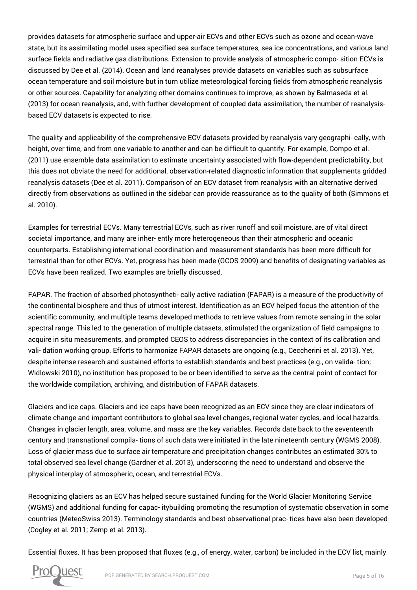provides datasets for atmospheric surface and upper-air ECVs and other ECVs such as ozone and ocean-wave state, but its assimilating model uses specified sea surface temperatures, sea ice concentrations, and various land surface fields and radiative gas distributions. Extension to provide analysis of atmospheric compo- sition ECVs is discussed by Dee et al. (2014). Ocean and land reanalyses provide datasets on variables such as subsurface ocean temperature and soil moisture but in turn utilize meteorological forcing fields from atmospheric reanalysis or other sources. Capability for analyzing other domains continues to improve, as shown by Balmaseda et al. (2013) for ocean reanalysis, and, with further development of coupled data assimilation, the number of reanalysisbased ECV datasets is expected to rise.

The quality and applicability of the comprehensive ECV datasets provided by reanalysis vary geographi- cally, with height, over time, and from one variable to another and can be difficult to quantify. For example, Compo et al. (2011) use ensemble data assimilation to estimate uncertainty associated with flow-dependent predictability, but this does not obviate the need for additional, observation-related diagnostic information that supplements gridded reanalysis datasets (Dee et al. 2011). Comparison of an ECV dataset from reanalysis with an alternative derived directly from observations as outlined in the sidebar can provide reassurance as to the quality of both (Simmons et al. 2010).

Examples for terrestrial ECVs. Many terrestrial ECVs, such as river runoff and soil moisture, are of vital direct societal importance, and many are inher- ently more heterogeneous than their atmospheric and oceanic counterparts. Establishing international coordination and measurement standards has been more difficult for terrestrial than for other ECVs. Yet, progress has been made (GCOS 2009) and benefits of designating variables as ECVs have been realized. Two examples are briefly discussed.

FAPAR. The fraction of absorbed photosyntheti- cally active radiation (FAPAR) is a measure of the productivity of the continental biosphere and thus of utmost interest. Identification as an ECV helped focus the attention of the scientific community, and multiple teams developed methods to retrieve values from remote sensing in the solar spectral range. This led to the generation of multiple datasets, stimulated the organization of field campaigns to acquire in situ measurements, and prompted CEOS to address discrepancies in the context of its calibration and vali- dation working group. Efforts to harmonize FAPAR datasets are ongoing (e.g., Ceccherini et al. 2013). Yet, despite intense research and sustained efforts to establish standards and best practices (e.g., on valida- tion; Widlowski 2010), no institution has proposed to be or been identified to serve as the central point of contact for the worldwide compilation, archiving, and distribution of FAPAR datasets.

Glaciers and ice caps. Glaciers and ice caps have been recognized as an ECV since they are clear indicators of climate change and important contributors to global sea level changes, regional water cycles, and local hazards. Changes in glacier length, area, volume, and mass are the key variables. Records date back to the seventeenth century and transnational compila- tions of such data were initiated in the late nineteenth century (WGMS 2008). Loss of glacier mass due to surface air temperature and precipitation changes contributes an estimated 30% to total observed sea level change (Gardner et al. 2013), underscoring the need to understand and observe the physical interplay of atmospheric, ocean, and terrestrial ECVs.

Recognizing glaciers as an ECV has helped secure sustained funding for the World Glacier Monitoring Service (WGMS) and additional funding for capac- itybuilding promoting the resumption of systematic observation in some countries (MeteoSwiss 2013). Terminology standards and best observational prac- tices have also been developed (Cogley et al. 2011; Zemp et al. 2013).

Essential fluxes. It has been proposed that fluxes (e.g., of energy, water, carbon) be included in the ECV list, mainly

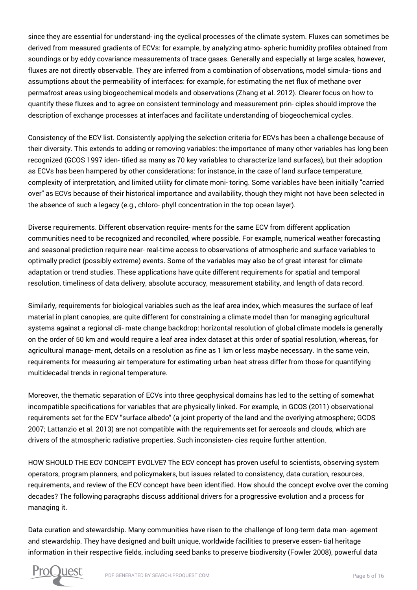since they are essential for understand- ing the cyclical processes of the climate system. Fluxes can sometimes be derived from measured gradients of ECVs: for example, by analyzing atmo- spheric humidity profiles obtained from soundings or by eddy covariance measurements of trace gases. Generally and especially at large scales, however, fluxes are not directly observable. They are inferred from a combination of observations, model simula- tions and assumptions about the permeability of interfaces: for example, for estimating the net flux of methane over permafrost areas using biogeochemical models and observations (Zhang et al. 2012). Clearer focus on how to quantify these fluxes and to agree on consistent terminology and measurement prin- ciples should improve the description of exchange processes at interfaces and facilitate understanding of biogeochemical cycles.

Consistency of the ECV list. Consistently applying the selection criteria for ECVs has been a challenge because of their diversity. This extends to adding or removing variables: the importance of many other variables has long been recognized (GCOS 1997 iden- tified as many as 70 key variables to characterize land surfaces), but their adoption as ECVs has been hampered by other considerations: for instance, in the case of land surface temperature, complexity of interpretation, and limited utility for climate moni- toring. Some variables have been initially "carried over" as ECVs because of their historical importance and availability, though they might not have been selected in the absence of such a legacy (e.g., chloro- phyll concentration in the top ocean layer).

Diverse requirements. Different observation require- ments for the same ECV from different application communities need to be recognized and reconciled, where possible. For example, numerical weather forecasting and seasonal prediction require near- real-time access to observations of atmospheric and surface variables to optimally predict (possibly extreme) events. Some of the variables may also be of great interest for climate adaptation or trend studies. These applications have quite different requirements for spatial and temporal resolution, timeliness of data delivery, absolute accuracy, measurement stability, and length of data record.

Similarly, requirements for biological variables such as the leaf area index, which measures the surface of leaf material in plant canopies, are quite different for constraining a climate model than for managing agricultural systems against a regional cli- mate change backdrop: horizontal resolution of global climate models is generally on the order of 50 km and would require a leaf area index dataset at this order of spatial resolution, whereas, for agricultural manage- ment, details on a resolution as fine as 1 km or less maybe necessary. In the same vein, requirements for measuring air temperature for estimating urban heat stress differ from those for quantifying multidecadal trends in regional temperature.

Moreover, the thematic separation of ECVs into three geophysical domains has led to the setting of somewhat incompatible specifications for variables that are physically linked. For example, in GCOS (2011) observational requirements set for the ECV "surface albedo" (a joint property of the land and the overlying atmosphere; GCOS 2007; Lattanzio et al. 2013) are not compatible with the requirements set for aerosols and clouds, which are drivers of the atmospheric radiative properties. Such inconsisten- cies require further attention.

HOW SHOULD THE ECV CONCEPT EVOLVE? The ECV concept has proven useful to scientists, observing system operators, program planners, and policymakers, but issues related to consistency, data curation, resources, requirements, and review of the ECV concept have been identified. How should the concept evolve over the coming decades? The following paragraphs discuss additional drivers for a progressive evolution and a process for managing it.

Data curation and stewardship. Many communities have risen to the challenge of long-term data man- agement and stewardship. They have designed and built unique, worldwide facilities to preserve essen- tial heritage information in their respective fields, including seed banks to preserve biodiversity (Fowler 2008), powerful data

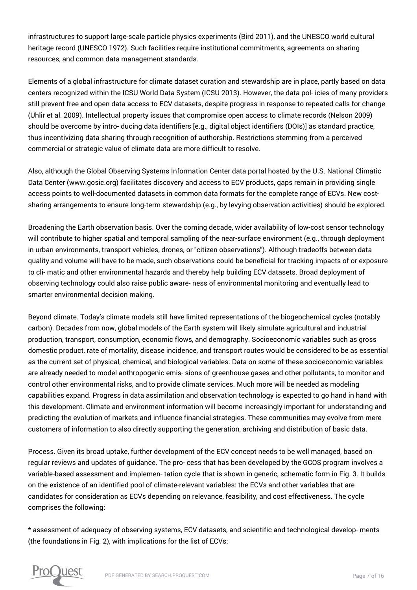infrastructures to support large-scale particle physics experiments (Bird 2011), and the UNESCO world cultural heritage record (UNESCO 1972). Such facilities require institutional commitments, agreements on sharing resources, and common data management standards.

Elements of a global infrastructure for climate dataset curation and stewardship are in place, partly based on data centers recognized within the ICSU World Data System (ICSU 2013). However, the data pol- icies of many providers still prevent free and open data access to ECV datasets, despite progress in response to repeated calls for change (Uhlir et al. 2009). Intellectual property issues that compromise open access to climate records (Nelson 2009) should be overcome by intro- ducing data identifiers [e.g., digital object identifiers (DOIs)] as standard practice, thus incentivizing data sharing through recognition of authorship. Restrictions stemming from a perceived commercial or strategic value of climate data are more difficult to resolve.

Also, although the Global Observing Systems Information Center data portal hosted by the U.S. National Climatic Data Center (www.gosic.org) facilitates discovery and access to ECV products, gaps remain in providing single access points to well-documented datasets in common data formats for the complete range of ECVs. New costsharing arrangements to ensure long-term stewardship (e.g., by levying observation activities) should be explored.

Broadening the Earth observation basis. Over the coming decade, wider availability of low-cost sensor technology will contribute to higher spatial and temporal sampling of the near-surface environment (e.g., through deployment in urban environments, transport vehicles, drones, or "citizen observations"). Although tradeoffs between data quality and volume will have to be made, such observations could be beneficial for tracking impacts of or exposure to cli- matic and other environmental hazards and thereby help building ECV datasets. Broad deployment of observing technology could also raise public aware- ness of environmental monitoring and eventually lead to smarter environmental decision making.

Beyond climate. Today's climate models still have limited representations of the biogeochemical cycles (notably carbon). Decades from now, global models of the Earth system will likely simulate agricultural and industrial production, transport, consumption, economic flows, and demography. Socioeconomic variables such as gross domestic product, rate of mortality, disease incidence, and transport routes would be considered to be as essential as the current set of physical, chemical, and biological variables. Data on some of these socioeconomic variables are already needed to model anthropogenic emis- sions of greenhouse gases and other pollutants, to monitor and control other environmental risks, and to provide climate services. Much more will be needed as modeling capabilities expand. Progress in data assimilation and observation technology is expected to go hand in hand with this development. Climate and environment information will become increasingly important for understanding and predicting the evolution of markets and influence financial strategies. These communities may evolve from mere customers of information to also directly supporting the generation, archiving and distribution of basic data.

Process. Given its broad uptake, further development of the ECV concept needs to be well managed, based on regular reviews and updates of guidance. The pro- cess that has been developed by the GCOS program involves a variable-based assessment and implemen- tation cycle that is shown in generic, schematic form in Fig. 3. It builds on the existence of an identified pool of climate-relevant variables: the ECVs and other variables that are candidates for consideration as ECVs depending on relevance, feasibility, and cost effectiveness. The cycle comprises the following:

\* assessment of adequacy of observing systems, ECV datasets, and scientific and technological develop- ments (the foundations in Fig. 2), with implications for the list of ECVs;

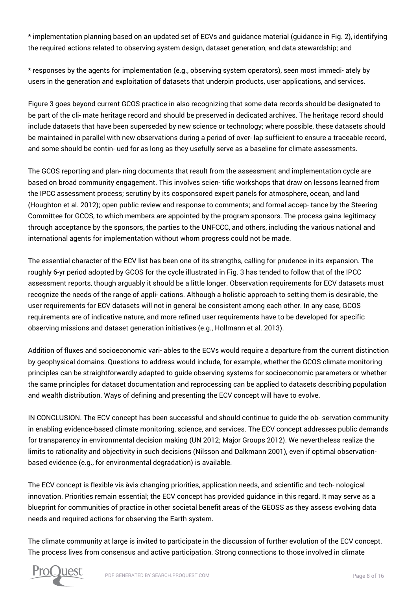\* implementation planning based on an updated set of ECVs and guidance material (guidance in Fig. 2), identifying the required actions related to observing system design, dataset generation, and data stewardship; and

\* responses by the agents for implementation (e.g., observing system operators), seen most immedi- ately by users in the generation and exploitation of datasets that underpin products, user applications, and services.

Figure 3 goes beyond current GCOS practice in also recognizing that some data records should be designated to be part of the cli- mate heritage record and should be preserved in dedicated archives. The heritage record should include datasets that have been superseded by new science or technology; where possible, these datasets should be maintained in parallel with new observations during a period of over- lap sufficient to ensure a traceable record, and some should be contin- ued for as long as they usefully serve as a baseline for climate assessments.

The GCOS reporting and plan- ning documents that result from the assessment and implementation cycle are based on broad community engagement. This involves scien- tific workshops that draw on lessons learned from the IPCC assessment process; scrutiny by its cosponsored expert panels for atmosphere, ocean, and land (Houghton et al. 2012); open public review and response to comments; and formal accep- tance by the Steering Committee for GCOS, to which members are appointed by the program sponsors. The process gains legitimacy through acceptance by the sponsors, the parties to the UNFCCC, and others, including the various national and international agents for implementation without whom progress could not be made.

The essential character of the ECV list has been one of its strengths, calling for prudence in its expansion. The roughly 6-yr period adopted by GCOS for the cycle illustrated in Fig. 3 has tended to follow that of the IPCC assessment reports, though arguably it should be a little longer. Observation requirements for ECV datasets must recognize the needs of the range of appli- cations. Although a holistic approach to setting them is desirable, the user requirements for ECV datasets will not in general be consistent among each other. In any case, GCOS requirements are of indicative nature, and more refined user requirements have to be developed for specific observing missions and dataset generation initiatives (e.g., Hollmann et al. 2013).

Addition of fluxes and socioeconomic vari- ables to the ECVs would require a departure from the current distinction by geophysical domains. Questions to address would include, for example, whether the GCOS climate monitoring principles can be straightforwardly adapted to guide observing systems for socioeconomic parameters or whether the same principles for dataset documentation and reprocessing can be applied to datasets describing population and wealth distribution. Ways of defining and presenting the ECV concept will have to evolve.

IN CONCLUSION. The ECV concept has been successful and should continue to guide the ob- servation community in enabling evidence-based climate monitoring, science, and services. The ECV concept addresses public demands for transparency in environmental decision making (UN 2012; Major Groups 2012). We nevertheless realize the limits to rationality and objectivity in such decisions (Nilsson and Dalkmann 2001), even if optimal observationbased evidence (e.g., for environmental degradation) is available.

The ECV concept is flexible vis àvis changing priorities, application needs, and scientific and tech- nological innovation. Priorities remain essential; the ECV concept has provided guidance in this regard. It may serve as a blueprint for communities of practice in other societal benefit areas of the GEOSS as they assess evolving data needs and required actions for observing the Earth system.

The climate community at large is invited to participate in the discussion of further evolution of the ECV concept. The process lives from consensus and active participation. Strong connections to those involved in climate

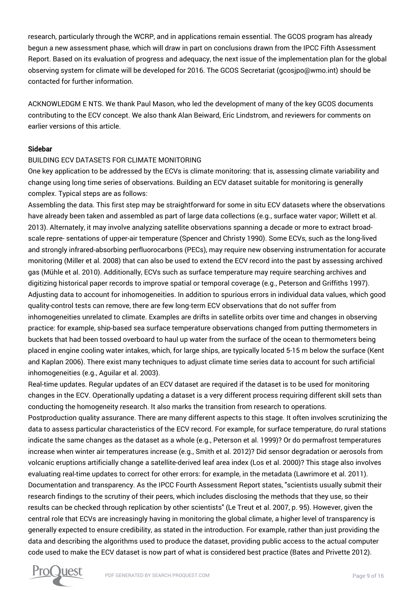research, particularly through the WCRP, and in applications remain essential. The GCOS program has already begun a new assessment phase, which will draw in part on conclusions drawn from the IPCC Fifth Assessment Report. Based on its evaluation of progress and adequacy, the next issue of the implementation plan for the global observing system for climate will be developed for 2016. The GCOS Secretariat (gcosjpo@wmo.int) should be contacted for further information.

ACKNOWLEDGM E NTS. We thank Paul Mason, who led the development of many of the key GCOS documents contributing to the ECV concept. We also thank Alan Beiward, Eric Lindstrom, and reviewers for comments on earlier versions of this article.

#### Sidebar

#### BUILDING ECV DATASETS FOR CLIMATE MONITORING

One key application to be addressed by the ECVs is climate monitoring: that is, assessing climate variability and change using long time series of observations. Building an ECV dataset suitable for monitoring is generally complex. Typical steps are as follows:

Assembling the data. This first step may be straightforward for some in situ ECV datasets where the observations have already been taken and assembled as part of large data collections (e.g., surface water vapor; Willett et al. 2013). Alternately, it may involve analyzing satellite observations spanning a decade or more to extract broadscale repre- sentations of upper-air temperature (Spencer and Christy 1990). Some ECVs, such as the long-lived and strongly infrared-absorbing perfluorocarbons (PECs), may require new observing instrumentation for accurate monitoring (Miller et al. 2008) that can also be used to extend the ECV record into the past by assessing archived gas (Mühle et al. 2010). Additionally, ECVs such as surface temperature may require searching archives and digitizing historical paper records to improve spatial or temporal coverage (e.g., Peterson and Griffiths 1997). Adjusting data to account for inhomogeneities. In addition to spurious errors in individual data values, which good quality-control tests can remove, there are few long-term ECV observations that do not suffer from inhomogeneities unrelated to climate. Examples are drifts in satellite orbits over time and changes in observing practice: for example, ship-based sea surface temperature observations changed from putting thermometers in buckets that had been tossed overboard to haul up water from the surface of the ocean to thermometers being placed in engine cooling water intakes, which, for large ships, are typically located 5-15 m below the surface (Kent and Kaplan 2006). There exist many techniques to adjust climate time series data to account for such artificial inhomogeneities (e.g., Aguilar et al. 2003).

Real-time updates. Regular updates of an ECV dataset are required if the dataset is to be used for monitoring changes in the ECV. Operationally updating a dataset is a very different process requiring different skill sets than conducting the homogeneity research. It also marks the transition from research to operations.

Postproduction quality assurance. There are many different aspects to this stage. It often involves scrutinizing the data to assess particular characteristics of the ECV record. For example, for surface temperature, do rural stations indicate the same changes as the dataset as a whole (e.g., Peterson et al. 1999)? Or do permafrost temperatures increase when winter air temperatures increase (e.g., Smith et al. 2012)? Did sensor degradation or aerosols from volcanic eruptions artificially change a satellite-derived leaf area index (Los et al. 2000)? This stage also involves evaluating real-time updates to correct for other errors: for example, in the metadata (Lawrimore et al. 2011). Documentation and transparency. As the IPCC Fourth Assessment Report states, "scientists usually submit their research findings to the scrutiny of their peers, which includes disclosing the methods that they use, so their results can be checked through replication by other scientists" (Le Treut et al. 2007, p. 95). However, given the central role that ECVs are increasingly having in monitoring the global climate, a higher level of transparency is generally expected to ensure credibility, as stated in the introduction. For example, rather than just providing the data and describing the algorithms used to produce the dataset, providing public access to the actual computer code used to make the ECV dataset is now part of what is considered best practice (Bates and Privette 2012).

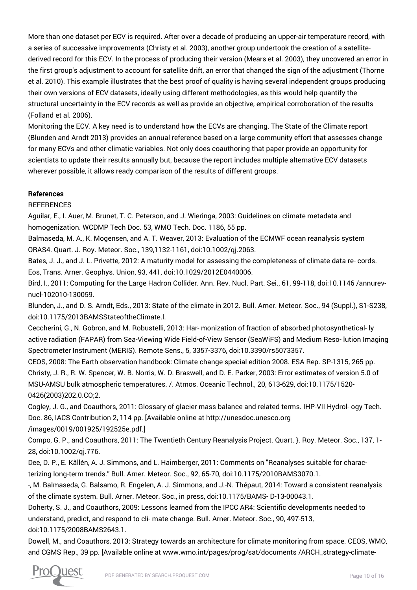More than one dataset per ECV is required. After over a decade of producing an upper-air temperature record, with a series of successive improvements (Christy et al. 2003), another group undertook the creation of a satellitederived record for this ECV. In the process of producing their version (Mears et al. 2003), they uncovered an error in the first group's adjustment to account for satellite drift, an error that changed the sign of the adjustment (Thorne et al. 2010). This example illustrates that the best proof of quality is having several independent groups producing their own versions of ECV datasets, ideally using different methodologies, as this would help quantify the structural uncertainty in the ECV records as well as provide an objective, empirical corroboration of the results (Folland et al. 2006).

Monitoring the ECV. A key need is to understand how the ECVs are changing. The State of the Climate report (Blunden and Arndt 2013) provides an annual reference based on a large community effort that assesses change for many ECVs and other climatic variables. Not only does coauthoring that paper provide an opportunity for scientists to update their results annually but, because the report includes multiple alternative ECV datasets wherever possible, it allows ready comparison of the results of different groups.

## References

## **REFERENCES**

Aguilar, E., I. Auer, M. Brunet, T. C. Peterson, and J. Wieringa, 2003: Guidelines on climate metadata and homogenization. WCDMP Tech Doc. 53, WMO Tech. Doc. 1186, 55 pp.

Balmaseda, M. A., K. Mogensen, and A. T. Weaver, 2013: Evaluation of the ECMWF ocean reanalysis system ORAS4. Quart. J. Roy. Meteor. Soc., 139,1132-1161, doi:10.1002/qj.2063.

Bates, J. J., and J. L. Privette, 2012: A maturity model for assessing the completeness of climate data re- cords. Eos, Trans. Arner. Geophys. Union, 93, 441, doi:10.1029/2012E0440006.

Bird, I., 2011: Computing for the Large Hadron Collider. Ann. Rev. Nucl. Part. Sei., 61, 99-118, doi:10.1146 /annurevnucl-102010-130059.

Blunden, J., and D. S. Arndt, Eds., 2013: State of the climate in 2012. Bull. Arner. Meteor. Soc., 94 (Suppl.), S1-S238, doi:10.1175/2013BAMSStateoftheClimate.l.

Ceccherini, G., N. Gobron, and M. Robustelli, 2013: Har- monization of fraction of absorbed photosynthetical- ly active radiation (FAPAR) from Sea-Viewing Wide Field-of-View Sensor (SeaWiFS) and Medium Reso- lution Imaging Spectrometer Instrument (MERIS). Remote Sens., 5, 3357-3376, doi:10.3390/rs5073357.

CEOS, 2008: The Earth observation handbook: Climate change special edition 2008. ESA Rep. SP-1315, 265 pp. Christy, J. R., R. W. Spencer, W. B. Norris, W. D. Braswell, and D. E. Parker, 2003: Error estimates of version 5.0 of MSU-AMSU bulk atmospheric temperatures. /. Atmos. Oceanic Technol., 20, 613-629, doi:10.1175/1520- 0426(2003)202.0.CO;2.

Cogley, J. G., and Coauthors, 2011: Glossary of glacier mass balance and related terms. IHP-VII Hydrol- ogy Tech. Doc. 86, IACS Contribution 2, 114 pp. [Available online at http://unesdoc.unesco.org

/images/0019/001925/192525e.pdf.]

Compo, G. P., and Coauthors, 2011: The Twentieth Century Reanalysis Project. Quart. }. Roy. Meteor. Soc., 137, 1- 28, doi:10.1002/qj.776.

Dee, D. P., E. Kâllén, A. J. Simmons, and L. Haimberger, 2011: Comments on "Reanalyses suitable for characterizing long-term trends." Bull. Arner. Meteor. Soc., 92, 65-70, doi:10.1175/2010BAMS3070.1.

-, M. Balmaseda, G. Balsamo, R. Engelen, A. J. Simmons, and J.-N. Thépaut, 2014: Toward a consistent reanalysis of the climate system. Bull. Arner. Meteor. Soc., in press, doi:10.1175/BAMS- D-13-00043.1.

Doherty, S. J., and Coauthors, 2009: Lessons learned from the IPCC AR4: Scientific developments needed to understand, predict, and respond to cli- mate change. Bull. Arner. Meteor. Soc., 90, 497-513, doi:10.1175/2008BAMS2643.1.

Dowell, M., and Coauthors, 2013: Strategy towards an architecture for climate monitoring from space. CEOS, WMO, and CGMS Rep., 39 pp. [Available online at www.wmo.int/pages/prog/sat/documents /ARCH\_strategy-climate-

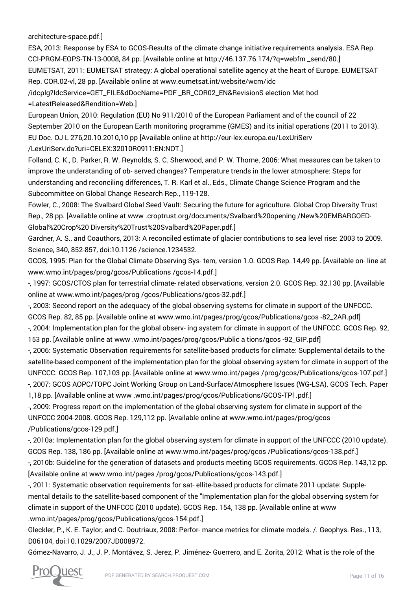architecture-space.pdf.]

ESA, 2013: Response by ESA to GCOS-Results of the climate change initiative requirements analysis. ESA Rep. CCI-PRGM-EOPS-TN-13-0008, 84 pp. [Available online at http://46.137.76.174/?q=webfm \_send/80.] EUMETSAT, 2011: EUMETSAT strategy: A global operational satellite agency at the heart of Europe. EUMETSAT Rep. COR.02-vl, 28 pp. [Available online at www.eumetsat.int/website/wcm/idc

/idcplg?IdcService=GET\_FILE&dDocName=PDF \_BR\_COR02\_EN&RevisionS election Met hod =LatestReleased&Rendition=Web.]

European Union, 2010: Regulation (EU) No 911/2010 of the European Parliament and of the council of 22 September 2010 on the European Earth monitoring programme (GMES) and its initial operations (2011 to 2013). EU Doc. OJ L 276,20.10.2010,10 pp [Available online at http://eur-lex.europa.eu/LexUriServ /LexUriServ.do?uri=CELEX:32010R0911:EN:NOT.]

Folland, C. K., D. Parker, R. W. Reynolds, S. C. Sherwood, and P. W. Thorne, 2006: What measures can be taken to improve the understanding of ob- served changes? Temperature trends in the lower atmosphere: Steps for understanding and reconciling differences, T. R. Karl et al., Eds., Climate Change Science Program and the Subcommittee on Global Change Research Rep., 119-128.

Fowler, C., 2008: The Svalbard Global Seed Vault: Securing the future for agriculture. Global Crop Diversity Trust Rep., 28 pp. [Available online at www .croptrust.org/documents/Svalbard%20opening /New%20EMBARGOED-Global%20Crop%20 Diversity%20Trust%20Svalbard%20Paper.pdf.]

Gardner, A. S., and Coauthors, 2013: A reconciled estimate of glacier contributions to sea level rise: 2003 to 2009. Science, 340, 852-857, doi:10.1126 /science.1234532.

GCOS, 1995: Plan for the Global Climate Observing Sys- tem, version 1.0. GCOS Rep. 14,49 pp. [Available on- line at www.wmo.int/pages/prog/gcos/Publications /gcos-14.pdf.]

-, 1997: GCOS/CTOS plan for terrestrial climate- related observations, version 2.0. GCOS Rep. 32,130 pp. [Available online at www.wmo.int/pages/prog /gcos/Publications/gcos-32.pdf.]

-, 2003: Second report on the adequacy of the global observing systems for climate in support of the UNFCCC. GCOS Rep. 82, 85 pp. [Available online at www.wmo.int/pages/prog/gcos/Publications/gcos -82\_2AR.pdf]

-, 2004: Implementation plan for the global observ- ing system for climate in support of the UNFCCC. GCOS Rep. 92, 153 pp. [Available online at www .wmo.int/pages/prog/gcos/Public a tions/gcos -92\_GIP.pdf]

-, 2006: Systematic Observation requirements for satellite-based products for climate: Supplemental details to the satellite-based component of the implementation plan for the global observing system for climate in support of the UNFCCC. GCOS Rep. 107,103 pp. [Available online at www.wmo.int/pages /prog/gcos/Publications/gcos-107.pdf.] -, 2007: GCOS AOPC/TOPC Joint Working Group on Land-Surface/Atmosphere Issues (WG-LSA). GCOS Tech. Paper 1,18 pp. [Available online at www .wmo.int/pages/prog/gcos/Publications/GCOS-TPl .pdf.]

-, 2009: Progress report on the implementation of the global observing system for climate in support of the UNFCCC 2004-2008. GCOS Rep. 129,112 pp. [Available online at www.wmo.int/pages/prog/gcos /Publications/gcos-129.pdf.]

-, 2010a: Implementation plan for the global observing system for climate in support of the UNFCCC (2010 update). GCOS Rep. 138, 186 pp. [Available online at www.wmo.int/pages/prog/gcos /Publications/gcos-138.pdf.]

-, 2010b: Guideline for the generation of datasets and products meeting GCOS requirements. GCOS Rep. 143,12 pp. [Available online at www.wmo.int/pages /prog/gcos/Publications/gcos-143.pdf.]

-, 2011: Systematic observation requirements for sat- ellite-based products for climate 2011 update: Supplemental details to the satellite-based component of the "Implementation plan for the global observing system for climate in support of the UNFCCC (2010 update). GCOS Rep. 154, 138 pp. [Available online at www .wmo.int/pages/prog/gcos/Publications/gcos-154.pdf.]

Gleckler, P., K. E. Taylor, and C. Doutriaux, 2008: Perfor- mance metrics for climate models. /. Geophys. Res., 113, D06104, doi:10.1029/2007JD008972.

Gómez-Navarro, J. J., J. P. Montávez, S. Jerez, P. Jiménez- Guerrero, and E. Zorita, 2012: What is the role of the

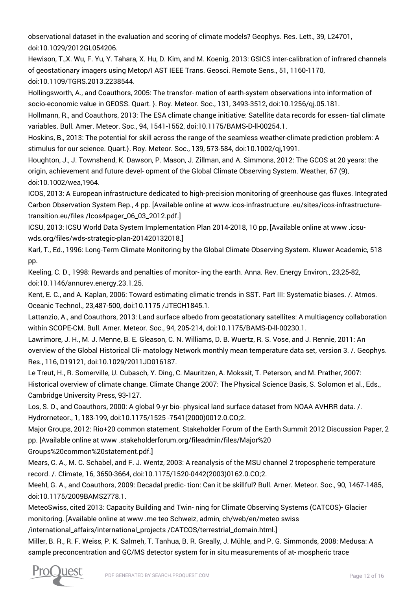observational dataset in the evaluation and scoring of climate models? Geophys. Res. Lett., 39, L24701, doi:10.1029/2012GL054206.

Hewison, T.,X. Wu, F. Yu, Y. Tahara, X. Hu, D. Kim, and M. Koenig, 2013: GSICS inter-calibration of infrared channels of geostationary imagers using Metop/I AST IEEE Trans. Geosci. Remote Sens., 51, 1160-1170, doi:10.1109/TGRS.2013.2238544.

Hollingsworth, A., and Coauthors, 2005: The transfor- mation of earth-system observations into information of socio-economic value in GEOSS. Quart. }. Roy. Meteor. Soc., 131, 3493-3512, doi:10.1256/qj.05.181.

Hollmann, R., and Coauthors, 2013: The ESA climate change initiative: Satellite data records for essen- tial climate variables. Bull. Amer. Meteor. Soc., 94, 1541-1552, doi:10.1175/BAMS-D-ll-00254.1.

Hoskins, B., 2013: The potential for skill across the range of the seamless weather-climate prediction problem: A stimulus for our science. Quart.}. Roy. Meteor. Soc., 139, 573-584, doi:10.1002/qj,1991.

Houghton, J., J. Townshend, K. Dawson, P. Mason, J. Zillman, and A. Simmons, 2012: The GCOS at 20 years: the origin, achievement and future devel- opment of the Global Climate Observing System. Weather, 67 (9), doi:10.1002/wea,1964.

ICOS, 2013: A European infrastructure dedicated to high-precision monitoring of greenhouse gas fluxes. Integrated Carbon Observation System Rep., 4 pp. [Available online at www.icos-infrastructure .eu/sites/icos-infrastructuretransition.eu/files /Icos4pager\_06\_03\_2012.pdf.]

ICSU, 2013: ICSU World Data System Implementation Plan 2014-2018, 10 pp, [Available online at www .icsuwds.org/files/wds-strategic-plan-201420132018.]

Karl, T., Ed., 1996: Long-Term Climate Monitoring by the Global Climate Observing System. Kluwer Academic, 518 pp.

Keeling, C. D., 1998: Rewards and penalties of monitor- ing the earth. Anna. Rev. Energy Environ., 23,25-82, doi:10.1146/annurev.energy.23.1.25.

Kent, E. C., and A. Kaplan, 2006: Toward estimating climatic trends in SST. Part III: Systematic biases. /. Atmos. Oceanic Technol., 23,487-500, doi:10.1175 /JTECH1845.1.

Lattanzio, A., and Coauthors, 2013: Land surface albedo from geostationary satellites: A multiagency collaboration within SCOPE-CM. Bull. Arner. Meteor. Soc., 94, 205-214, doi:10.1175/BAMS-D-ll-00230.1.

Lawrimore, J. H., M. J. Menne, B. E. Gleason, C. N. Williams, D. B. Wuertz, R. S. Vose, and J. Rennie, 2011: An overview of the Global Historical Cli- matology Network monthly mean temperature data set, version 3. /. Geophys. Res., 116, D19121, doi:10.1029/2011JD016187.

Le Treut, H., R. Somerville, U. Cubasch, Y. Ding, C. Mauritzen, A. Mokssit, T. Peterson, and M. Prather, 2007: Historical overview of climate change. Climate Change 2007: The Physical Science Basis, S. Solomon et al., Eds., Cambridge University Press, 93-127.

Los, S. O., and Coauthors, 2000: A global 9-yr bio- physical land surface dataset from NOAA AVHRR data. /. Hydrorneteor., 1, 183-199, doi:10.1175/1525 -7541(2000)0012.0.CO;2.

Major Groups, 2012: Rio+20 common statement. Stakeholder Forum of the Earth Summit 2012 Discussion Paper, 2 pp. [Available online at www .stakeholderforum.org/fileadmin/files/Major%20

Groups%20common%20statement.pdf.]

Mears, C. A., M. C. Schabel, and F. J. Wentz, 2003: A reanalysis of the MSU channel 2 tropospheric temperature record. /. Climate, 16, 3650-3664, doi:10.1175/1520-0442(2003)0162.0.CO;2.

Meehl, G. A., and Coauthors, 2009: Decadal predic- tion: Can it be skillful? Bull. Arner. Meteor. Soc., 90, 1467-1485, doi:10.1175/2009BAMS2778.1.

MeteoSwiss, cited 2013: Capacity Building and Twin- ning for Climate Observing Systems (CATCOS)- Glacier monitoring. [Available online at www .me teo Schweiz, admin, ch/web/en/meteo swiss

/international\_affairs/international\_projects /CATCOS/terrestrial\_domain.html.]

Miller, B. R., R. F. Weiss, P. K. Salmeh, T. Tanhua, B. R. Greally, J. Mühle, and P. G. Simmonds, 2008: Medusa: A sample preconcentration and GC/MS detector system for in situ measurements of at- mospheric trace

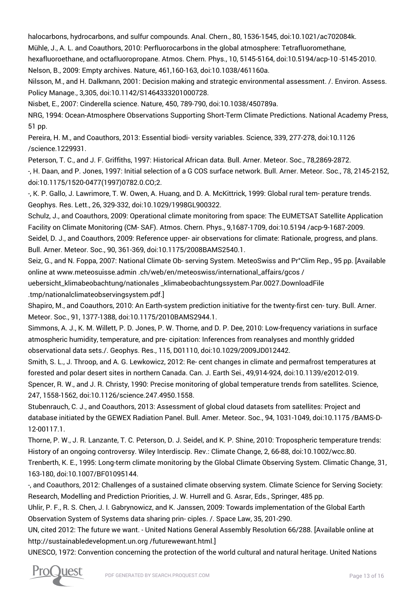halocarbons, hydrocarbons, and sulfur compounds. Anal. Chern., 80, 1536-1545, doi:10.1021/ac702084k.

Mühle, J., A. L. and Coauthors, 2010: Perfluorocarbons in the global atmosphere: Tetrafluoromethane,

hexafluoroethane, and octafluoropropane. Atmos. Chern. Phys., 10, 5145-5164, doi:10.5194/acp-10 -5145-2010. Nelson, B., 2009: Empty archives. Nature, 461,160-163, doi:10.1038/461160a.

Nilsson, M., and H. Dalkmann, 2001: Decision making and strategic environmental assessment. /. Environ. Assess. Policy Manage., 3,305, doi:10.1142/S1464333201000728.

Nisbet, E., 2007: Cinderella science. Nature, 450, 789-790, doi:10.1038/450789a.

NRG, 1994: Ocean-Atmosphere Observations Supporting Short-Term Climate Predictions. National Academy Press, 51 pp.

Pereira, H. M., and Coauthors, 2013: Essential biodi- versity variables. Science, 339, 277-278, doi:10.1126 /science.1229931.

Peterson, T. C., and J. F. Griffiths, 1997: Historical African data. Bull. Arner. Meteor. Soc., 78,2869-2872.

-, H. Daan, and P. Jones, 1997: Initial selection of a G COS surface network. Bull. Arner. Meteor. Soc., 78, 2145-2152, doi:10.1175/1520-0477(1997)0782.0.CO;2.

-, K. P. Gallo, J. Lawrimore, T. W. Owen, A. Huang, and D. A. McKittrick, 1999: Global rural tem- perature trends. Geophys. Res. Lett., 26, 329-332, doi:10.1029/1998GL900322.

Schulz, J., and Coauthors, 2009: Operational climate monitoring from space: The EUMETSAT Satellite Application Facility on Climate Monitoring (CM- SAF). Atmos. Chern. Phys., 9,1687-1709, doi:10.5194 /acp-9-1687-2009.

Seidel, D. J., and Coauthors, 2009: Reference upper- air observations for climate: Rationale, progress, and plans. Bull. Arner. Meteor. Soc., 90, 361-369, doi:10.1175/2008BAMS2540.1.

Seiz, G., and N. Foppa, 2007: National Climate Ob- serving System. MeteoSwiss and Pr°Clim Rep., 95 pp. [Available online at www.meteosuisse.admin .ch/web/en/meteoswiss/international\_affairs/gcos /

uebersicht\_klimabeobachtung/nationales \_klimabeobachtungssystem.Par.0027.DownloadFile

.tmp/nationalclimateobservingsystem.pdf.]

Shapiro, M., and Coauthors, 2010: An Earth-system prediction initiative for the twenty-first cen- tury. Bull. Arner. Meteor. Soc., 91, 1377-1388, doi:10.1175/2010BAMS2944.1.

Simmons, A. J., K. M. Willett, P. D. Jones, P. W. Thorne, and D. P. Dee, 2010: Low-frequency variations in surface atmospheric humidity, temperature, and pre- cipitation: Inferences from reanalyses and monthly gridded observational data sets./. Geophys. Res., 115, D01110, doi:10.1029/2009JD012442.

Smith, S. L., J. Throop, and A. G. Lewkowicz, 2012: Re- cent changes in climate and permafrost temperatures at forested and polar desert sites in northern Canada. Can. J. Earth Sei., 49,914-924, doi:10.1139/e2012-019. Spencer, R. W., and J. R. Christy, 1990: Precise monitoring of global temperature trends from satellites. Science, 247, 1558-1562, doi:10.1126/science.247.4950.1558.

Stubenrauch, C. J., and Coauthors, 2013: Assessment of global cloud datasets from satellites: Project and database initiated by the GEWEX Radiation Panel. Bull. Amer. Meteor. Soc., 94, 1031-1049, doi:10.1175 /BAMS-D-12-00117.1.

Thorne, P. W., J. R. Lanzante, T. C. Peterson, D. J. Seidel, and K. P. Shine, 2010: Tropospheric temperature trends: History of an ongoing controversy. Wiley Interdiscip. Rev.: Climate Change, 2, 66-88, doi:10.1002/wcc.80.

Trenberth, K. E., 1995: Long-term climate monitoring by the Global Climate Observing System. Climatic Change, 31, 163-180, doi:10.1007/BF01095144.

-, and Coauthors, 2012: Challenges of a sustained climate observing system. Climate Science for Serving Society: Research, Modelling and Prediction Priorities, J. W. Hurrell and G. Asrar, Eds., Springer, 485 pp.

Uhlir, P. F., R. S. Chen, J. I. Gabrynowicz, and K. Janssen, 2009: Towards implementation of the Global Earth Observation System of Systems data sharing prin- ciples. /. Space Law, 35, 201-290.

UN, cited 2012: The future we want. - United Nations General Assembly Resolution 66/288. [Available online at http://sustainabledevelopment.un.org /futurewewant.html.]

UNESCO, 1972: Convention concerning the protection of the world cultural and natural heritage. United Nations

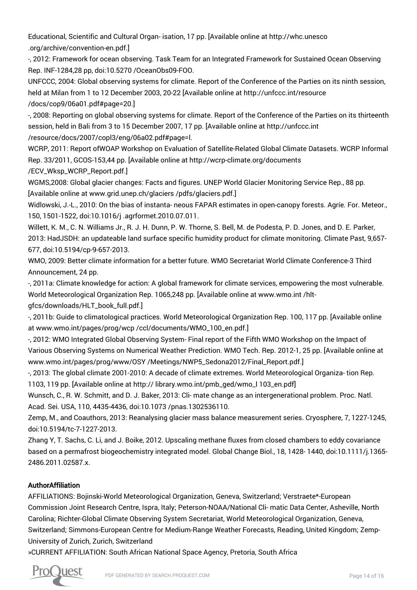Educational, Scientific and Cultural Organ- isation, 17 pp. [Available online at http://whc.unesco .org/archive/convention-en.pdf.]

-, 2012: Framework for ocean observing. Task Team for an Integrated Framework for Sustained Ocean Observing Rep. INF-1284,28 pp, doi:10.5270 /OceanObs09-FOO.

UNFCCC, 2004: Global observing systems for climate. Report of the Conference of the Parties on its ninth session, held at Milan from 1 to 12 December 2003, 20-22 [Available online at http://unfccc.int/resource /docs/cop9/06a01.pdf#page=20.]

-, 2008: Reporting on global observing systems for climate. Report of the Conference of the Parties on its thirteenth session, held in Bali from 3 to 15 December 2007, 17 pp. [Available online at http://unfccc.int /resource/docs/2007/copl3/eng/06a02.pdf#page=l.

WCRP, 2011: Report ofWOAP Workshop on Evaluation of Satellite-Related Global Climate Datasets. WCRP Informal Rep. 33/2011, GCOS-153,44 pp. [Available online at http://wcrp-climate.org/documents /ECV\_Wksp\_WCRP\_Report.pdf.]

WGMS,2008: Global glacier changes: Facts and figures. UNEP World Glacier Monitoring Service Rep., 88 pp. [Available online at www.grid.unep.ch/glaciers /pdfs/glaciers.pdf.]

Widlowski, J.-L., 2010: On the bias of instanta- neous FAPAR estimates in open-canopy forests. Agríe. For. Meteor., 150, 1501-1522, doi:10.1016/j .agrformet.2010.07.011.

Willett, K. M., C. N. Williams Jr., R. J. H. Dunn, P. W. Thorne, S. Bell, M. de Podesta, P. D. Jones, and D. E. Parker, 2013: HadJSDH: an updateable land surface specific humidity product for climate monitoring. Climate Past, 9,657- 677, doi:10.5194/cp-9-657-2013.

WMO, 2009: Better climate information for a better future. WMO Secretariat World Climate Conference-3 Third Announcement, 24 pp.

-, 2011a: Climate knowledge for action: A global framework for climate services, empowering the most vulnerable. World Meteorological Organization Rep. 1065,248 pp. [Available online at www.wmo.int /hltgfcs/downloads/HLT\_book\_full.pdf.]

-, 2011b: Guide to climatological practices. World Meteorological Organization Rep. 100, 117 pp. [Available online at www.wmo.int/pages/prog/wcp /ccl/documents/WMO\_100\_en.pdf.]

-, 2012: WMO Integrated Global Observing System- Final report of the Fifth WMO Workshop on the Impact of Various Observing Systems on Numerical Weather Prediction. WMO Tech. Rep. 2012-1, 25 pp. [Available online at www.wmo.int/pages/prog/www/OSY /Meetings/NWP5\_Sedona2012/Final\_Report.pdf.]

-, 2013: The global climate 2001-2010: A decade of climate extremes. World Meteorological Organiza- tion Rep. 1103, 119 pp. [Available online at http:// library.wmo.int/pmb\_ged/wmo\_l 103\_en.pdf]

Wunsch, C., R. W. Schmitt, and D. J. Baker, 2013: Cli- mate change as an intergenerational problem. Proc. Natl. Acad. Sei. USA, 110, 4435-4436, doi:10.1073 /pnas.1302536110.

Zemp, M., and Coauthors, 2013: Reanalysing glacier mass balance measurement series. Cryosphere, 7, 1227-1245, doi:10.5194/tc-7-1227-2013.

Zhang Y, T. Sachs, C. Li, and J. Boike, 2012. Upscaling methane fluxes from closed chambers to eddy covariance based on a permafrost biogeochemistry integrated model. Global Change Biol., 18, 1428- 1440, doi:10.1111/j.1365- 2486.2011.02587.x.

## AuthorAffiliation

AFFILIATIONS: Bojinski-World Meteorological Organization, Geneva, Switzerland; Verstraete\*-European Commission Joint Research Centre, Ispra, Italy; Peterson-NOAA/National Cli- matic Data Center, Asheville, North Carolina; Richter-Global Climate Observing System Secretariat, World Meteorological Organization, Geneva, Switzerland; Simmons-European Centre for Medium-Range Weather Forecasts, Reading, United Kingdom; Zemp-University of Zurich, Zurich, Switzerland

»CURRENT AFFILIATION: South African National Space Agency, Pretoria, South Africa

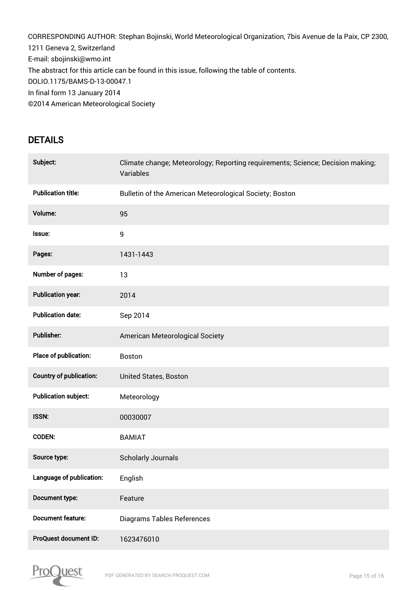CORRESPONDING AUTHOR: Stephan Bojinski, World Meteorological Organization, 7bis Avenue de la Paix, CP 2300, 1211 Geneva 2, Switzerland E-mail: sbojinski@wmo.int The abstract for this article can be found in this issue, following the table of contents. DOLIO.1175/BAMS-D-13-00047.1 In final form 13 January 2014 ©2014 American Meteorological Society

# **DETAILS**

| Subject:                       | Climate change; Meteorology; Reporting requirements; Science; Decision making;<br>Variables |
|--------------------------------|---------------------------------------------------------------------------------------------|
| <b>Publication title:</b>      | Bulletin of the American Meteorological Society; Boston                                     |
| Volume:                        | 95                                                                                          |
| Issue:                         | 9                                                                                           |
| Pages:                         | 1431-1443                                                                                   |
| <b>Number of pages:</b>        | 13                                                                                          |
| <b>Publication year:</b>       | 2014                                                                                        |
| <b>Publication date:</b>       | Sep 2014                                                                                    |
| <b>Publisher:</b>              | American Meteorological Society                                                             |
| Place of publication:          | <b>Boston</b>                                                                               |
| <b>Country of publication:</b> | <b>United States, Boston</b>                                                                |
| <b>Publication subject:</b>    | Meteorology                                                                                 |
| ISSN:                          | 00030007                                                                                    |
| <b>CODEN:</b>                  | <b>BAMIAT</b>                                                                               |
| Source type:                   | <b>Scholarly Journals</b>                                                                   |
| Language of publication:       | English                                                                                     |
| Document type:                 | Feature                                                                                     |
| <b>Document feature:</b>       | <b>Diagrams Tables References</b>                                                           |
| <b>ProQuest document ID:</b>   | 1623476010                                                                                  |